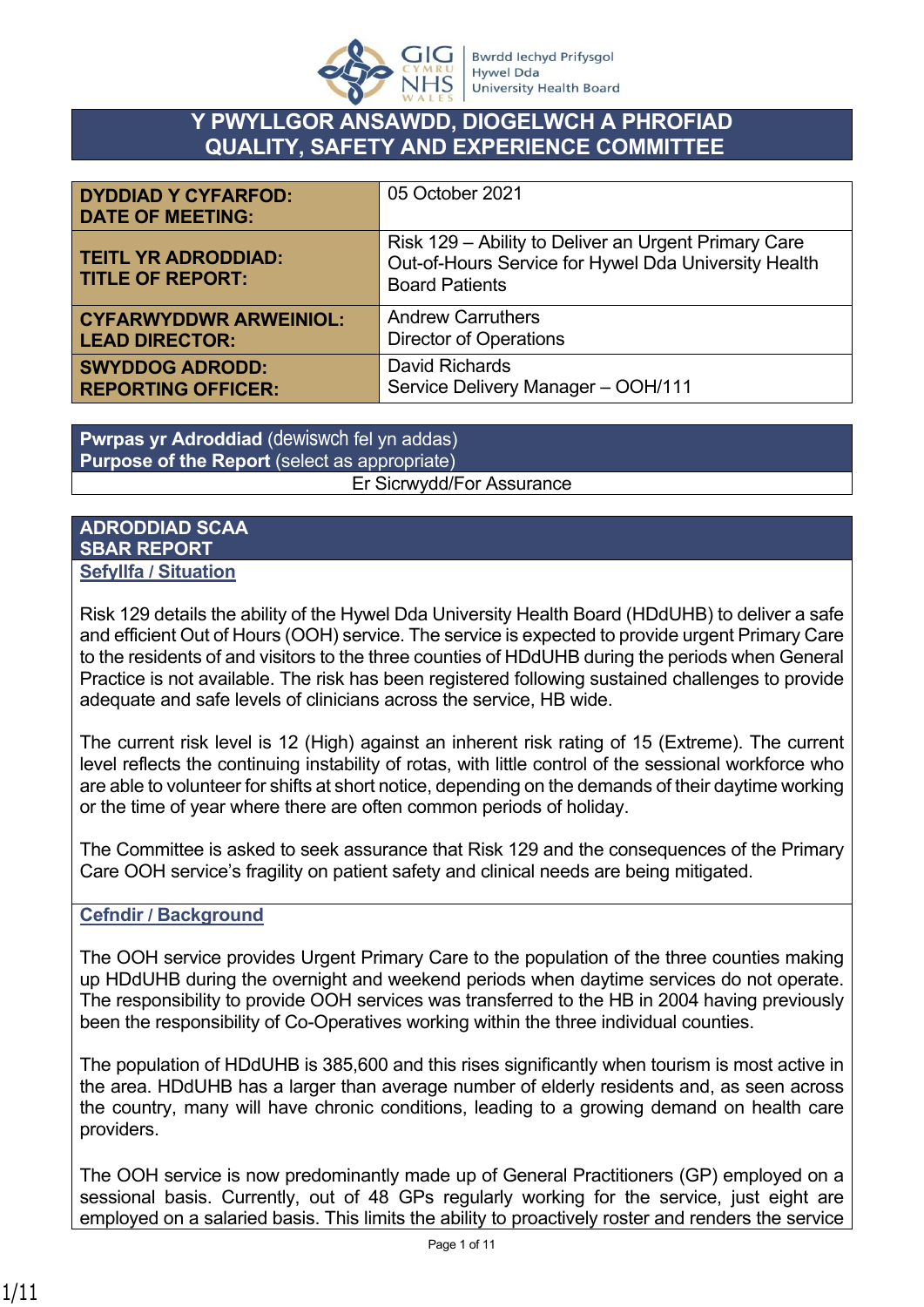

# **Y PWYLLGOR ANSAWDD, DIOGELWCH A PHROFIAD QUALITY, SAFETY AND EXPERIENCE COMMITTEE**

| <b>DYDDIAD Y CYFARFOD:</b><br><b>DATE OF MEETING:</b> | 05 October 2021                                                                                                                       |
|-------------------------------------------------------|---------------------------------------------------------------------------------------------------------------------------------------|
| <b>TEITL YR ADRODDIAD:</b><br><b>TITLE OF REPORT:</b> | Risk 129 – Ability to Deliver an Urgent Primary Care<br>Out-of-Hours Service for Hywel Dda University Health<br><b>Board Patients</b> |
| <b>CYFARWYDDWR ARWEINIOL:</b>                         | <b>Andrew Carruthers</b>                                                                                                              |
| <b>LEAD DIRECTOR:</b>                                 | <b>Director of Operations</b>                                                                                                         |
| <b>SWYDDOG ADRODD:</b>                                | <b>David Richards</b>                                                                                                                 |
| <b>REPORTING OFFICER:</b>                             | Service Delivery Manager - OOH/111                                                                                                    |

**Pwrpas yr Adroddiad** (dewiswch fel yn addas) **Purpose of the Report** (select as appropriate) Er Sicrwydd/For Assurance

#### **ADRODDIAD SCAA SBAR REPORT Sefyllfa / Situation**

Risk 129 details the ability of the Hywel Dda University Health Board (HDdUHB) to deliver a safe and efficient Out of Hours (OOH) service. The service is expected to provide urgent Primary Care to the residents of and visitors to the three counties of HDdUHB during the periods when General Practice is not available. The risk has been registered following sustained challenges to provide adequate and safe levels of clinicians across the service, HB wide.

The current risk level is 12 (High) against an inherent risk rating of 15 (Extreme). The current level reflects the continuing instability of rotas, with little control of the sessional workforce who are able to volunteer for shifts at short notice, depending on the demands of their daytime working or the time of year where there are often common periods of holiday.

The Committee is asked to seek assurance that Risk 129 and the consequences of the Primary Care OOH service's fragility on patient safety and clinical needs are being mitigated.

# **Cefndir / Background**

The OOH service provides Urgent Primary Care to the population of the three counties making up HDdUHB during the overnight and weekend periods when daytime services do not operate. The responsibility to provide OOH services was transferred to the HB in 2004 having previously been the responsibility of Co-Operatives working within the three individual counties.

The population of HDdUHB is 385,600 and this rises significantly when tourism is most active in the area. HDdUHB has a larger than average number of elderly residents and, as seen across the country, many will have chronic conditions, leading to a growing demand on health care providers.

The OOH service is now predominantly made up of General Practitioners (GP) employed on a sessional basis. Currently, out of 48 GPs regularly working for the service, just eight are employed on a salaried basis. This limits the ability to proactively roster and renders the service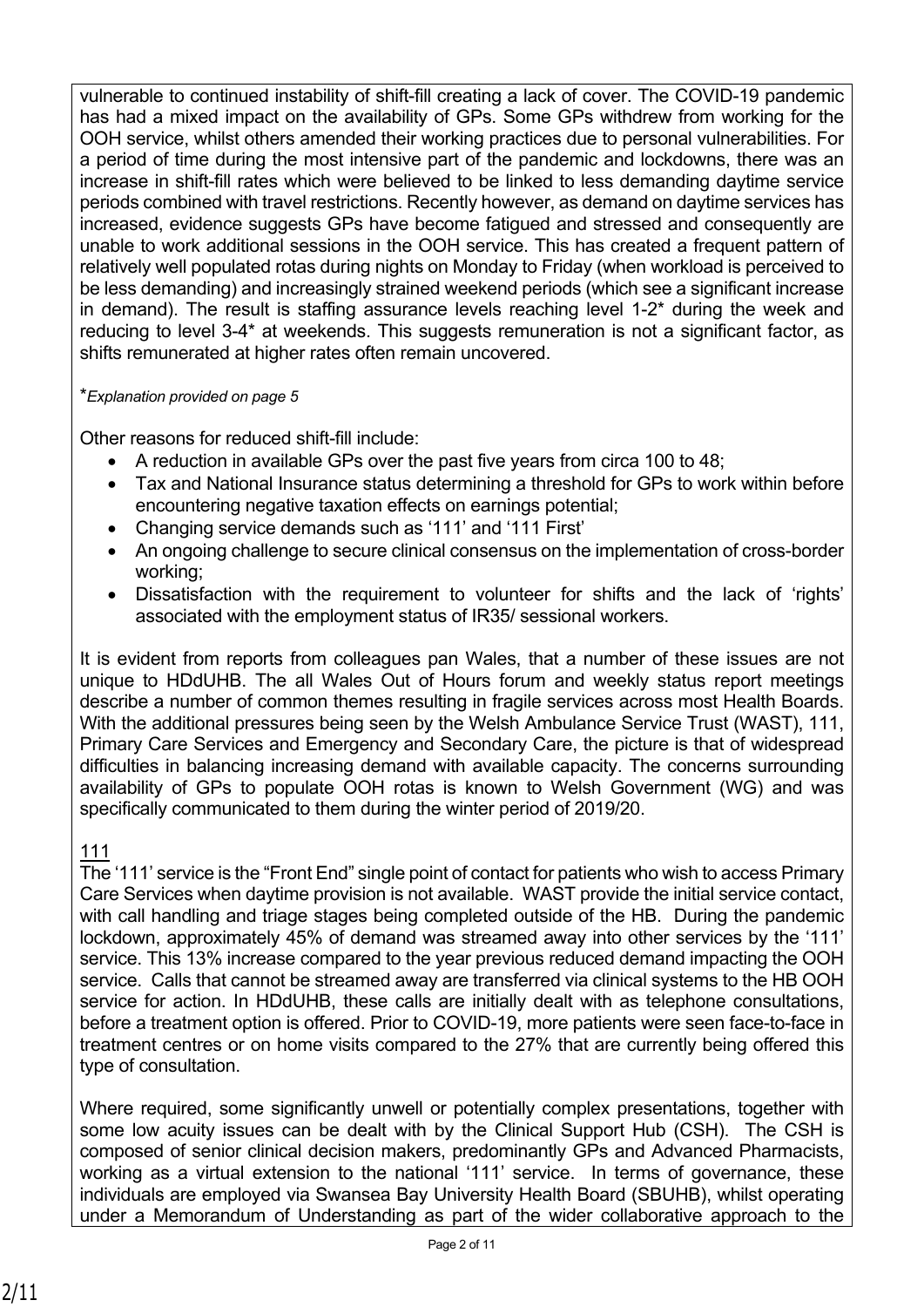vulnerable to continued instability of shift-fill creating a lack of cover. The COVID-19 pandemic has had a mixed impact on the availability of GPs. Some GPs withdrew from working for the OOH service, whilst others amended their working practices due to personal vulnerabilities. For a period of time during the most intensive part of the pandemic and lockdowns, there was an increase in shift-fill rates which were believed to be linked to less demanding daytime service periods combined with travel restrictions. Recently however, as demand on daytime services has increased, evidence suggests GPs have become fatigued and stressed and consequently are unable to work additional sessions in the OOH service. This has created a frequent pattern of relatively well populated rotas during nights on Monday to Friday (when workload is perceived to be less demanding) and increasingly strained weekend periods (which see a significant increase in demand). The result is staffing assurance levels reaching level 1-2\* during the week and reducing to level 3-4\* at weekends. This suggests remuneration is not a significant factor, as shifts remunerated at higher rates often remain uncovered.

#### \**Explanation provided on page 5*

Other reasons for reduced shift-fill include:

- A reduction in available GPs over the past five years from circa 100 to 48;
- Tax and National Insurance status determining a threshold for GPs to work within before encountering negative taxation effects on earnings potential;
- Changing service demands such as '111' and '111 First'
- An ongoing challenge to secure clinical consensus on the implementation of cross-border working;
- Dissatisfaction with the requirement to volunteer for shifts and the lack of 'rights' associated with the employment status of IR35/ sessional workers.

It is evident from reports from colleagues pan Wales, that a number of these issues are not unique to HDdUHB. The all Wales Out of Hours forum and weekly status report meetings describe a number of common themes resulting in fragile services across most Health Boards. With the additional pressures being seen by the Welsh Ambulance Service Trust (WAST), 111, Primary Care Services and Emergency and Secondary Care, the picture is that of widespread difficulties in balancing increasing demand with available capacity. The concerns surrounding availability of GPs to populate OOH rotas is known to Welsh Government (WG) and was specifically communicated to them during the winter period of 2019/20.

# 111

The '111' service is the "Front End" single point of contact for patients who wish to access Primary Care Services when daytime provision is not available. WAST provide the initial service contact, with call handling and triage stages being completed outside of the HB. During the pandemic lockdown, approximately 45% of demand was streamed away into other services by the '111' service. This 13% increase compared to the year previous reduced demand impacting the OOH service. Calls that cannot be streamed away are transferred via clinical systems to the HB OOH service for action. In HDdUHB, these calls are initially dealt with as telephone consultations, before a treatment option is offered. Prior to COVID-19, more patients were seen face-to-face in treatment centres or on home visits compared to the 27% that are currently being offered this type of consultation.

Where required, some significantly unwell or potentially complex presentations, together with some low acuity issues can be dealt with by the Clinical Support Hub (CSH). The CSH is composed of senior clinical decision makers, predominantly GPs and Advanced Pharmacists, working as a virtual extension to the national '111' service. In terms of governance, these individuals are employed via Swansea Bay University Health Board (SBUHB), whilst operating under a Memorandum of Understanding as part of the wider collaborative approach to the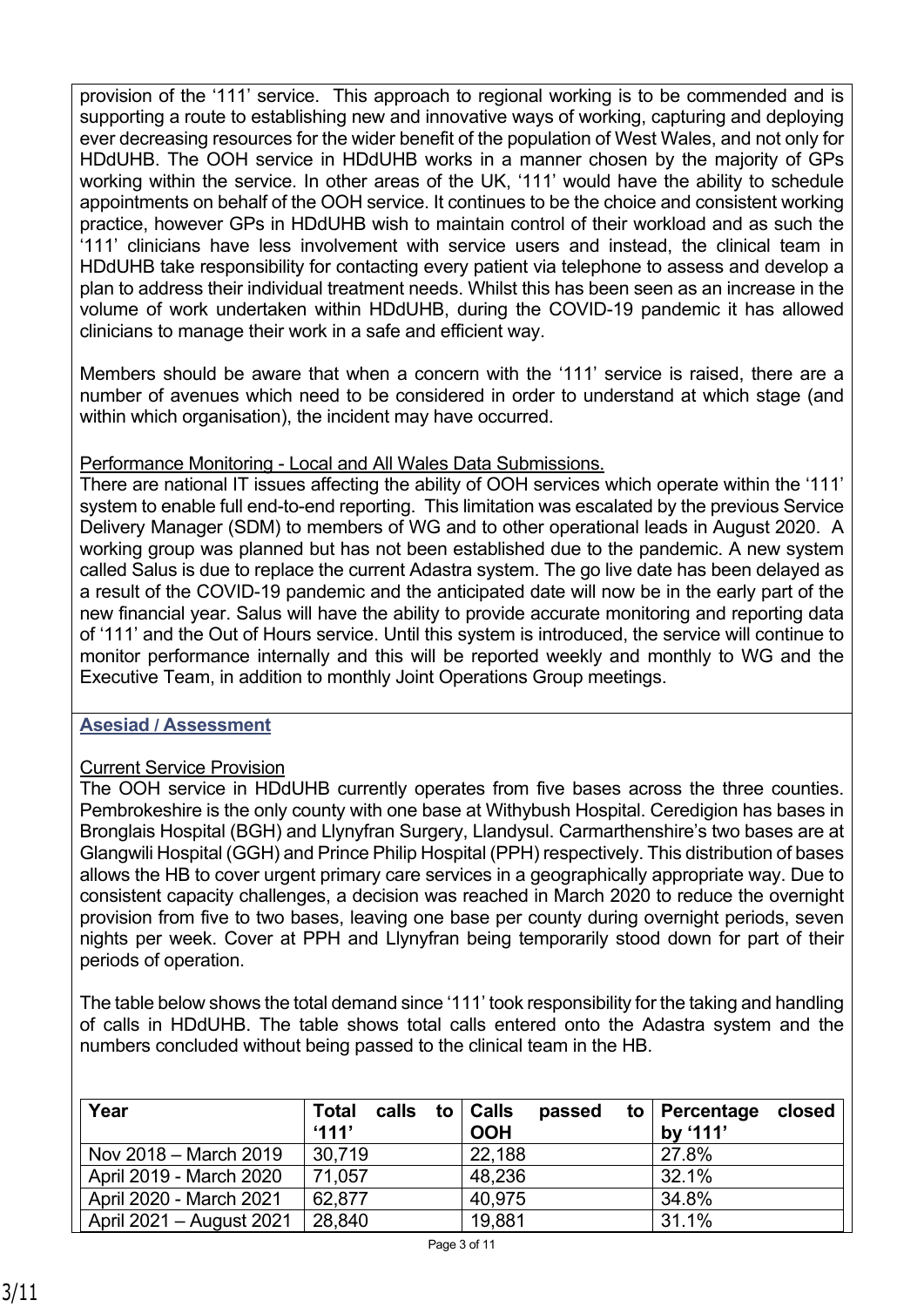provision of the '111' service. This approach to regional working is to be commended and is supporting a route to establishing new and innovative ways of working, capturing and deploying ever decreasing resources for the wider benefit of the population of West Wales, and not only for HDdUHB. The OOH service in HDdUHB works in a manner chosen by the majority of GPs working within the service. In other areas of the UK, '111' would have the ability to schedule appointments on behalf of the OOH service. It continues to be the choice and consistent working practice, however GPs in HDdUHB wish to maintain control of their workload and as such the '111' clinicians have less involvement with service users and instead, the clinical team in HDdUHB take responsibility for contacting every patient via telephone to assess and develop a plan to address their individual treatment needs. Whilst this has been seen as an increase in the volume of work undertaken within HDdUHB, during the COVID-19 pandemic it has allowed clinicians to manage their work in a safe and efficient way.

Members should be aware that when a concern with the '111' service is raised, there are a number of avenues which need to be considered in order to understand at which stage (and within which organisation), the incident may have occurred.

# Performance Monitoring - Local and All Wales Data Submissions.

There are national IT issues affecting the ability of OOH services which operate within the '111' system to enable full end-to-end reporting. This limitation was escalated by the previous Service Delivery Manager (SDM) to members of WG and to other operational leads in August 2020. A working group was planned but has not been established due to the pandemic. A new system called Salus is due to replace the current Adastra system. The go live date has been delayed as a result of the COVID-19 pandemic and the anticipated date will now be in the early part of the new financial year. Salus will have the ability to provide accurate monitoring and reporting data of '111' and the Out of Hours service. Until this system is introduced, the service will continue to monitor performance internally and this will be reported weekly and monthly to WG and the Executive Team, in addition to monthly Joint Operations Group meetings.

# **Asesiad / Assessment**

# Current Service Provision

The OOH service in HDdUHB currently operates from five bases across the three counties. Pembrokeshire is the only county with one base at Withybush Hospital. Ceredigion has bases in Bronglais Hospital (BGH) and Llynyfran Surgery, Llandysul. Carmarthenshire's two bases are at Glangwili Hospital (GGH) and Prince Philip Hospital (PPH) respectively. This distribution of bases allows the HB to cover urgent primary care services in a geographically appropriate way. Due to consistent capacity challenges, a decision was reached in March 2020 to reduce the overnight provision from five to two bases, leaving one base per county during overnight periods, seven nights per week. Cover at PPH and Llynyfran being temporarily stood down for part of their periods of operation.

The table below shows the total demand since '111' took responsibility for the taking and handling of calls in HDdUHB. The table shows total calls entered onto the Adastra system and the numbers concluded without being passed to the clinical team in the HB.

| Year                     | calls<br><b>Total</b><br>'111' | to   Calls<br>passed<br>$\mathsf{to}$<br><b>OOH</b> | Percentage<br>closed<br>by '111' |
|--------------------------|--------------------------------|-----------------------------------------------------|----------------------------------|
| Nov 2018 – March 2019    | 30.719                         | 22,188                                              | 27.8%                            |
| April 2019 - March 2020  | 71,057                         | 48,236                                              | 32.1%                            |
| April 2020 - March 2021  | 62.877                         | 40.975                                              | 34.8%                            |
| April 2021 - August 2021 | 28,840                         | 19,881                                              | 31.1%                            |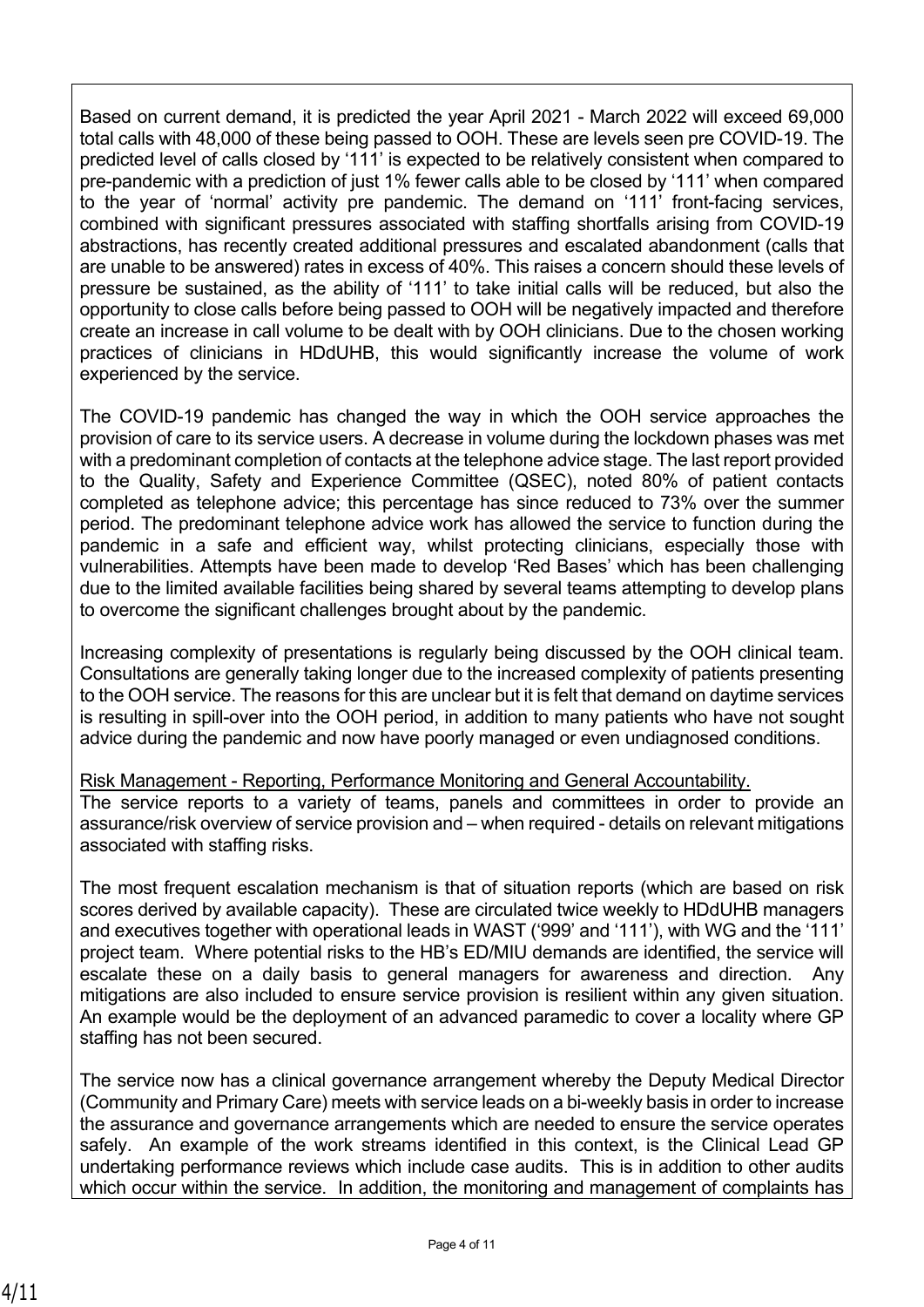Based on current demand, it is predicted the year April 2021 - March 2022 will exceed 69,000 total calls with 48,000 of these being passed to OOH. These are levels seen pre COVID-19. The predicted level of calls closed by '111' is expected to be relatively consistent when compared to pre-pandemic with a prediction of just 1% fewer calls able to be closed by '111' when compared to the year of 'normal' activity pre pandemic. The demand on '111' front-facing services, combined with significant pressures associated with staffing shortfalls arising from COVID-19 abstractions, has recently created additional pressures and escalated abandonment (calls that are unable to be answered) rates in excess of 40%. This raises a concern should these levels of pressure be sustained, as the ability of '111' to take initial calls will be reduced, but also the opportunity to close calls before being passed to OOH will be negatively impacted and therefore create an increase in call volume to be dealt with by OOH clinicians. Due to the chosen working practices of clinicians in HDdUHB, this would significantly increase the volume of work experienced by the service.

The COVID-19 pandemic has changed the way in which the OOH service approaches the provision of care to its service users. A decrease in volume during the lockdown phases was met with a predominant completion of contacts at the telephone advice stage. The last report provided to the Quality, Safety and Experience Committee (QSEC), noted 80% of patient contacts completed as telephone advice; this percentage has since reduced to 73% over the summer period. The predominant telephone advice work has allowed the service to function during the pandemic in a safe and efficient way, whilst protecting clinicians, especially those with vulnerabilities. Attempts have been made to develop 'Red Bases' which has been challenging due to the limited available facilities being shared by several teams attempting to develop plans to overcome the significant challenges brought about by the pandemic.

Increasing complexity of presentations is regularly being discussed by the OOH clinical team. Consultations are generally taking longer due to the increased complexity of patients presenting to the OOH service. The reasons for this are unclear but it is felt that demand on daytime services is resulting in spill-over into the OOH period, in addition to many patients who have not sought advice during the pandemic and now have poorly managed or even undiagnosed conditions.

Risk Management - Reporting, Performance Monitoring and General Accountability.

The service reports to a variety of teams, panels and committees in order to provide an assurance/risk overview of service provision and – when required - details on relevant mitigations associated with staffing risks.

The most frequent escalation mechanism is that of situation reports (which are based on risk scores derived by available capacity). These are circulated twice weekly to HDdUHB managers and executives together with operational leads in WAST ('999' and '111'), with WG and the '111' project team. Where potential risks to the HB's ED/MIU demands are identified, the service will escalate these on a daily basis to general managers for awareness and direction. Any mitigations are also included to ensure service provision is resilient within any given situation. An example would be the deployment of an advanced paramedic to cover a locality where GP staffing has not been secured.

The service now has a clinical governance arrangement whereby the Deputy Medical Director (Community and Primary Care) meets with service leads on a bi-weekly basis in order to increase the assurance and governance arrangements which are needed to ensure the service operates safely. An example of the work streams identified in this context, is the Clinical Lead GP undertaking performance reviews which include case audits. This is in addition to other audits which occur within the service. In addition, the monitoring and management of complaints has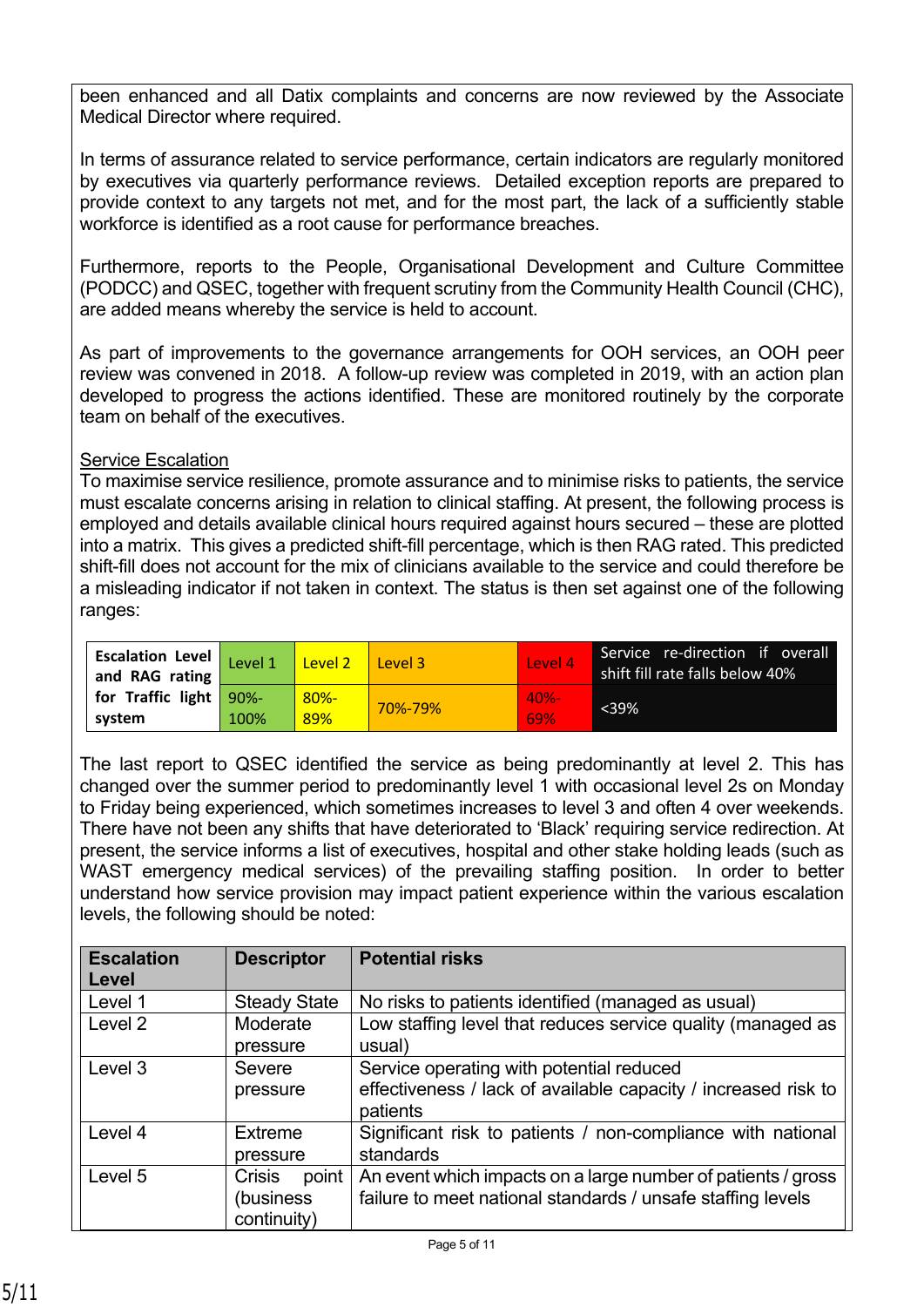been enhanced and all Datix complaints and concerns are now reviewed by the Associate Medical Director where required.

In terms of assurance related to service performance, certain indicators are regularly monitored by executives via quarterly performance reviews. Detailed exception reports are prepared to provide context to any targets not met, and for the most part, the lack of a sufficiently stable workforce is identified as a root cause for performance breaches.

Furthermore, reports to the People, Organisational Development and Culture Committee (PODCC) and QSEC, together with frequent scrutiny from the Community Health Council (CHC), are added means whereby the service is held to account.

As part of improvements to the governance arrangements for OOH services, an OOH peer review was convened in 2018. A follow-up review was completed in 2019, with an action plan developed to progress the actions identified. These are monitored routinely by the corporate team on behalf of the executives.

#### **Service Escalation**

To maximise service resilience, promote assurance and to minimise risks to patients, the service must escalate concerns arising in relation to clinical staffing. At present, the following process is employed and details available clinical hours required against hours secured – these are plotted into a matrix. This gives a predicted shift-fill percentage, which is then RAG rated. This predicted shift-fill does not account for the mix of clinicians available to the service and could therefore be a misleading indicator if not taken in context. The status is then set against one of the following ranges:

| <b>Escalation Level</b><br>and RAG rating | Level 1         | Level 2        | Level 3 | Level 4        | Service re-direction if overall<br>shift fill rate falls below 40% |
|-------------------------------------------|-----------------|----------------|---------|----------------|--------------------------------------------------------------------|
| for Traffic light<br>system               | $90% -$<br>100% | $80% -$<br>89% | 70%-79% | $40% -$<br>69% | $<$ 39%                                                            |

The last report to QSEC identified the service as being predominantly at level 2. This has changed over the summer period to predominantly level 1 with occasional level 2s on Monday to Friday being experienced, which sometimes increases to level 3 and often 4 over weekends. There have not been any shifts that have deteriorated to 'Black' requiring service redirection. At present, the service informs a list of executives, hospital and other stake holding leads (such as WAST emergency medical services) of the prevailing staffing position. In order to better understand how service provision may impact patient experience within the various escalation levels, the following should be noted:

| <b>Escalation</b><br>Level | <b>Descriptor</b>                                  | <b>Potential risks</b>                                                                                                      |
|----------------------------|----------------------------------------------------|-----------------------------------------------------------------------------------------------------------------------------|
| Level 1                    | <b>Steady State</b>                                | No risks to patients identified (managed as usual)                                                                          |
| Level 2                    | Moderate<br>pressure                               | Low staffing level that reduces service quality (managed as<br>usual)                                                       |
| Level 3                    | Severe<br>pressure                                 | Service operating with potential reduced<br>effectiveness / lack of available capacity / increased risk to<br>patients      |
| Level 4                    | Extreme<br>pressure                                | Significant risk to patients / non-compliance with national<br>standards                                                    |
| Level 5                    | point<br><b>Crisis</b><br>(business<br>continuity) | An event which impacts on a large number of patients / gross<br>failure to meet national standards / unsafe staffing levels |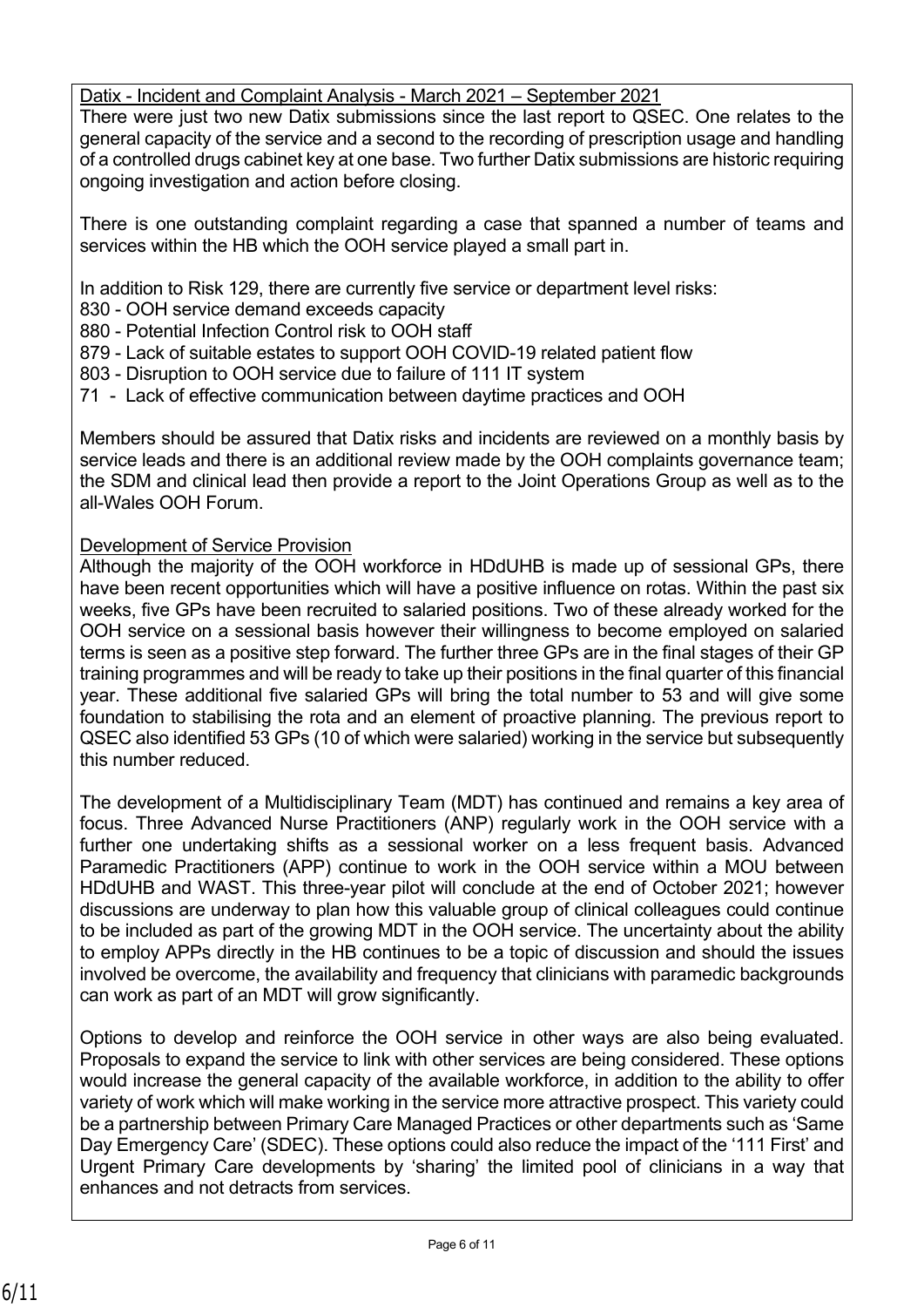## Datix - Incident and Complaint Analysis - March 2021 – September 2021

There were just two new Datix submissions since the last report to QSEC. One relates to the general capacity of the service and a second to the recording of prescription usage and handling of a controlled drugs cabinet key at one base. Two further Datix submissions are historic requiring ongoing investigation and action before closing.

There is one outstanding complaint regarding a case that spanned a number of teams and services within the HB which the OOH service played a small part in.

In addition to Risk 129, there are currently five service or department level risks:

830 - OOH service demand exceeds capacity

880 - Potential Infection Control risk to OOH staff

- 879 Lack of suitable estates to support OOH COVID-19 related patient flow
- 803 Disruption to OOH service due to failure of 111 IT system
- 71 Lack of effective communication between daytime practices and OOH

Members should be assured that Datix risks and incidents are reviewed on a monthly basis by service leads and there is an additional review made by the OOH complaints governance team; the SDM and clinical lead then provide a report to the Joint Operations Group as well as to the all-Wales OOH Forum.

#### Development of Service Provision

Although the majority of the OOH workforce in HDdUHB is made up of sessional GPs, there have been recent opportunities which will have a positive influence on rotas. Within the past six weeks, five GPs have been recruited to salaried positions. Two of these already worked for the OOH service on a sessional basis however their willingness to become employed on salaried terms is seen as a positive step forward. The further three GPs are in the final stages of their GP training programmes and will be ready to take up their positions in the final quarter of this financial year. These additional five salaried GPs will bring the total number to 53 and will give some foundation to stabilising the rota and an element of proactive planning. The previous report to QSEC also identified 53 GPs (10 of which were salaried) working in the service but subsequently this number reduced.

The development of a Multidisciplinary Team (MDT) has continued and remains a key area of focus. Three Advanced Nurse Practitioners (ANP) regularly work in the OOH service with a further one undertaking shifts as a sessional worker on a less frequent basis. Advanced Paramedic Practitioners (APP) continue to work in the OOH service within a MOU between HDdUHB and WAST. This three-year pilot will conclude at the end of October 2021; however discussions are underway to plan how this valuable group of clinical colleagues could continue to be included as part of the growing MDT in the OOH service. The uncertainty about the ability to employ APPs directly in the HB continues to be a topic of discussion and should the issues involved be overcome, the availability and frequency that clinicians with paramedic backgrounds can work as part of an MDT will grow significantly.

Options to develop and reinforce the OOH service in other ways are also being evaluated. Proposals to expand the service to link with other services are being considered. These options would increase the general capacity of the available workforce, in addition to the ability to offer variety of work which will make working in the service more attractive prospect. This variety could be a partnership between Primary Care Managed Practices or other departments such as 'Same Day Emergency Care' (SDEC). These options could also reduce the impact of the '111 First' and Urgent Primary Care developments by 'sharing' the limited pool of clinicians in a way that enhances and not detracts from services.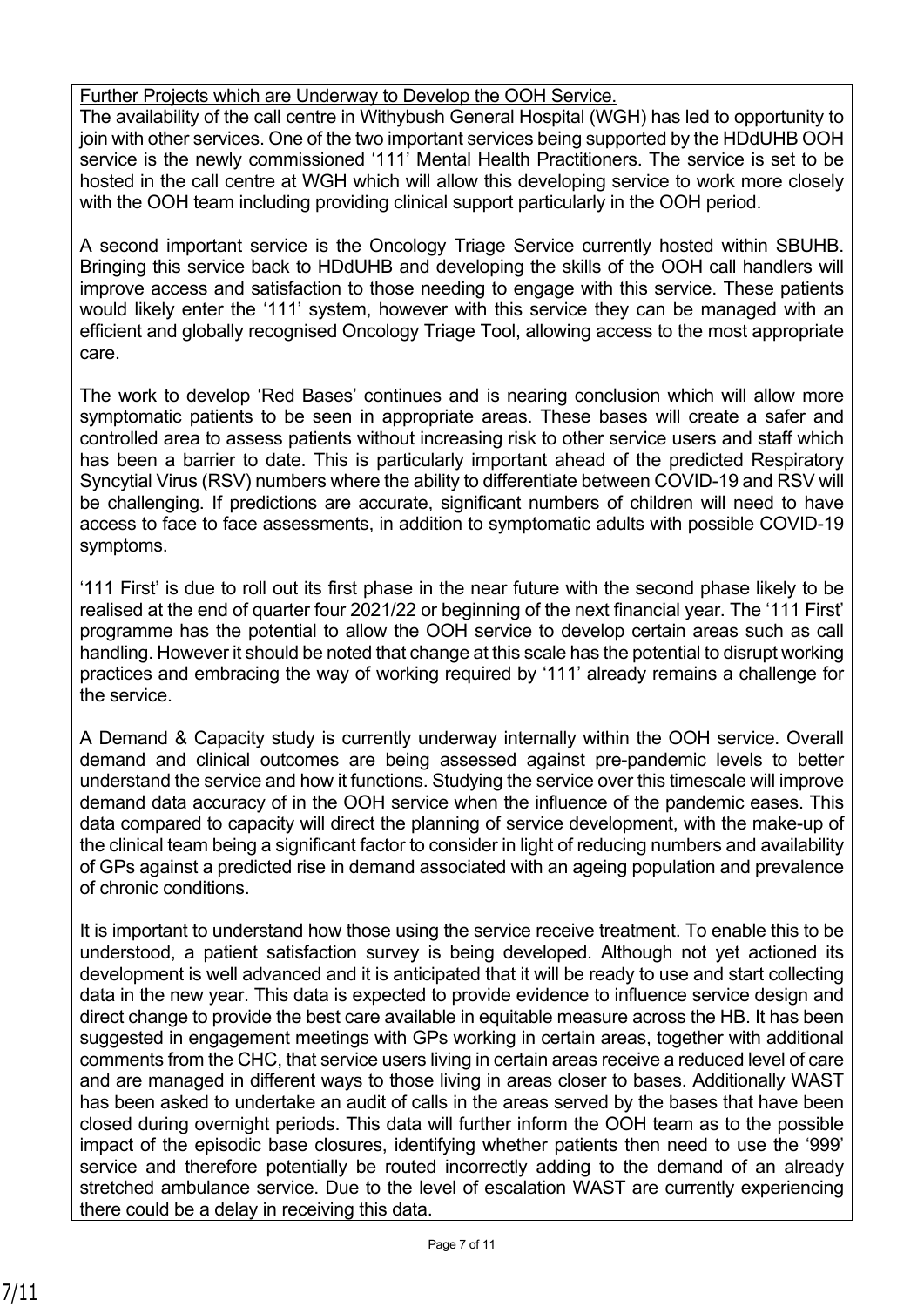# Further Projects which are Underway to Develop the OOH Service.

The availability of the call centre in Withybush General Hospital (WGH) has led to opportunity to join with other services. One of the two important services being supported by the HDdUHB OOH service is the newly commissioned '111' Mental Health Practitioners. The service is set to be hosted in the call centre at WGH which will allow this developing service to work more closely with the OOH team including providing clinical support particularly in the OOH period.

A second important service is the Oncology Triage Service currently hosted within SBUHB. Bringing this service back to HDdUHB and developing the skills of the OOH call handlers will improve access and satisfaction to those needing to engage with this service. These patients would likely enter the '111' system, however with this service they can be managed with an efficient and globally recognised Oncology Triage Tool, allowing access to the most appropriate care.

The work to develop 'Red Bases' continues and is nearing conclusion which will allow more symptomatic patients to be seen in appropriate areas. These bases will create a safer and controlled area to assess patients without increasing risk to other service users and staff which has been a barrier to date. This is particularly important ahead of the predicted Respiratory Syncytial Virus (RSV) numbers where the ability to differentiate between COVID-19 and RSV will be challenging. If predictions are accurate, significant numbers of children will need to have access to face to face assessments, in addition to symptomatic adults with possible COVID-19 symptoms.

'111 First' is due to roll out its first phase in the near future with the second phase likely to be realised at the end of quarter four 2021/22 or beginning of the next financial year. The '111 First' programme has the potential to allow the OOH service to develop certain areas such as call handling. However it should be noted that change at this scale has the potential to disrupt working practices and embracing the way of working required by '111' already remains a challenge for the service.

A Demand & Capacity study is currently underway internally within the OOH service. Overall demand and clinical outcomes are being assessed against pre-pandemic levels to better understand the service and how it functions. Studying the service over this timescale will improve demand data accuracy of in the OOH service when the influence of the pandemic eases. This data compared to capacity will direct the planning of service development, with the make-up of the clinical team being a significant factor to consider in light of reducing numbers and availability of GPs against a predicted rise in demand associated with an ageing population and prevalence of chronic conditions.

It is important to understand how those using the service receive treatment. To enable this to be understood, a patient satisfaction survey is being developed. Although not yet actioned its development is well advanced and it is anticipated that it will be ready to use and start collecting data in the new year. This data is expected to provide evidence to influence service design and direct change to provide the best care available in equitable measure across the HB. It has been suggested in engagement meetings with GPs working in certain areas, together with additional comments from the CHC, that service users living in certain areas receive a reduced level of care and are managed in different ways to those living in areas closer to bases. Additionally WAST has been asked to undertake an audit of calls in the areas served by the bases that have been closed during overnight periods. This data will further inform the OOH team as to the possible impact of the episodic base closures, identifying whether patients then need to use the '999' service and therefore potentially be routed incorrectly adding to the demand of an already stretched ambulance service. Due to the level of escalation WAST are currently experiencing there could be a delay in receiving this data.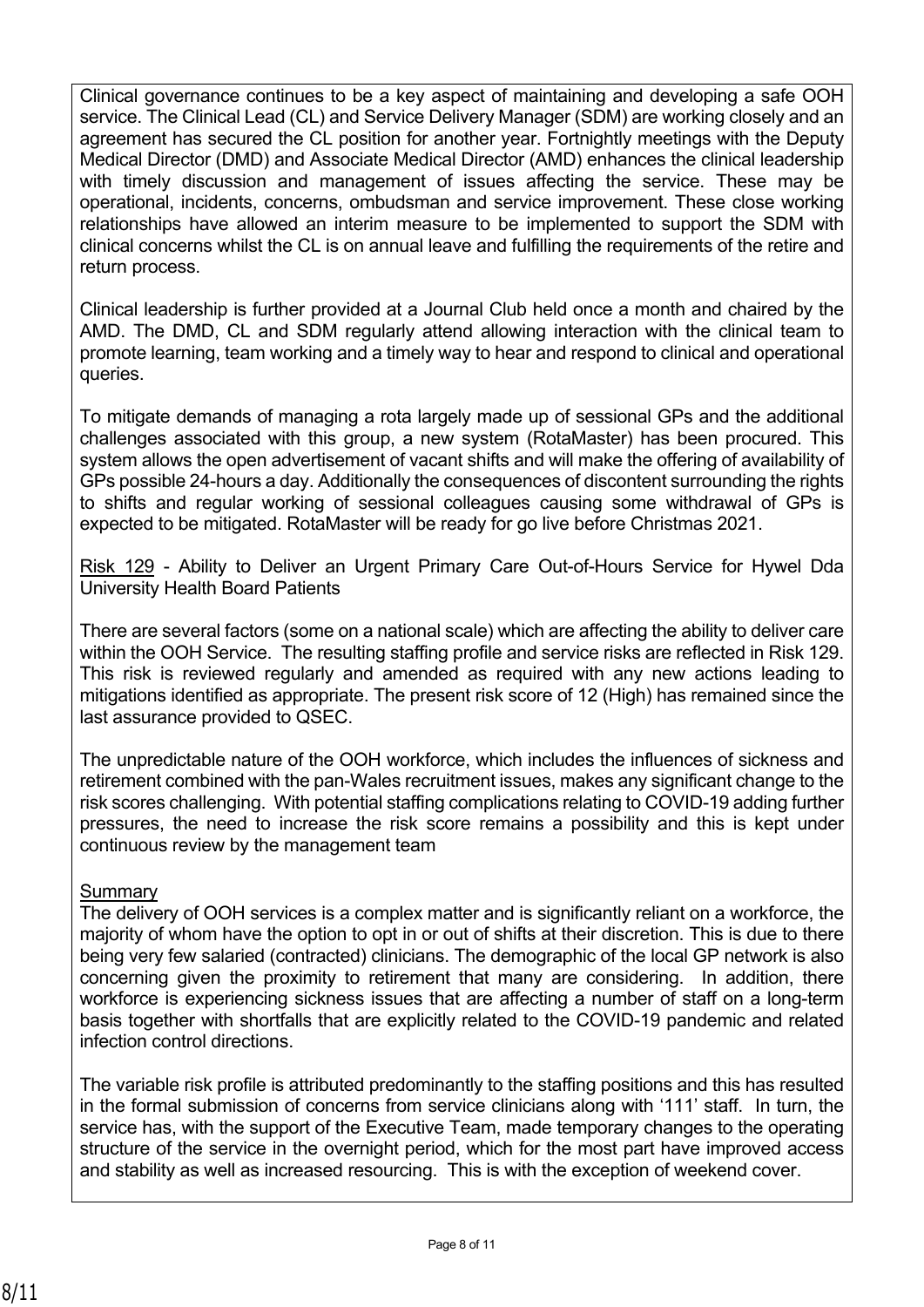Clinical governance continues to be a key aspect of maintaining and developing a safe OOH service. The Clinical Lead (CL) and Service Delivery Manager (SDM) are working closely and an agreement has secured the CL position for another year. Fortnightly meetings with the Deputy Medical Director (DMD) and Associate Medical Director (AMD) enhances the clinical leadership with timely discussion and management of issues affecting the service. These may be operational, incidents, concerns, ombudsman and service improvement. These close working relationships have allowed an interim measure to be implemented to support the SDM with clinical concerns whilst the CL is on annual leave and fulfilling the requirements of the retire and return process.

Clinical leadership is further provided at a Journal Club held once a month and chaired by the AMD. The DMD, CL and SDM regularly attend allowing interaction with the clinical team to promote learning, team working and a timely way to hear and respond to clinical and operational queries.

To mitigate demands of managing a rota largely made up of sessional GPs and the additional challenges associated with this group, a new system (RotaMaster) has been procured. This system allows the open advertisement of vacant shifts and will make the offering of availability of GPs possible 24-hours a day. Additionally the consequences of discontent surrounding the rights to shifts and regular working of sessional colleagues causing some withdrawal of GPs is expected to be mitigated. RotaMaster will be ready for go live before Christmas 2021.

Risk 129 - Ability to Deliver an Urgent Primary Care Out-of-Hours Service for Hywel Dda University Health Board Patients

There are several factors (some on a national scale) which are affecting the ability to deliver care within the OOH Service. The resulting staffing profile and service risks are reflected in Risk 129. This risk is reviewed regularly and amended as required with any new actions leading to mitigations identified as appropriate. The present risk score of 12 (High) has remained since the last assurance provided to QSEC.

The unpredictable nature of the OOH workforce, which includes the influences of sickness and retirement combined with the pan-Wales recruitment issues, makes any significant change to the risk scores challenging. With potential staffing complications relating to COVID-19 adding further pressures, the need to increase the risk score remains a possibility and this is kept under continuous review by the management team

# Summary

The delivery of OOH services is a complex matter and is significantly reliant on a workforce, the majority of whom have the option to opt in or out of shifts at their discretion. This is due to there being very few salaried (contracted) clinicians. The demographic of the local GP network is also concerning given the proximity to retirement that many are considering. In addition, there workforce is experiencing sickness issues that are affecting a number of staff on a long-term basis together with shortfalls that are explicitly related to the COVID-19 pandemic and related infection control directions.

The variable risk profile is attributed predominantly to the staffing positions and this has resulted in the formal submission of concerns from service clinicians along with '111' staff. In turn, the service has, with the support of the Executive Team, made temporary changes to the operating structure of the service in the overnight period, which for the most part have improved access and stability as well as increased resourcing. This is with the exception of weekend cover.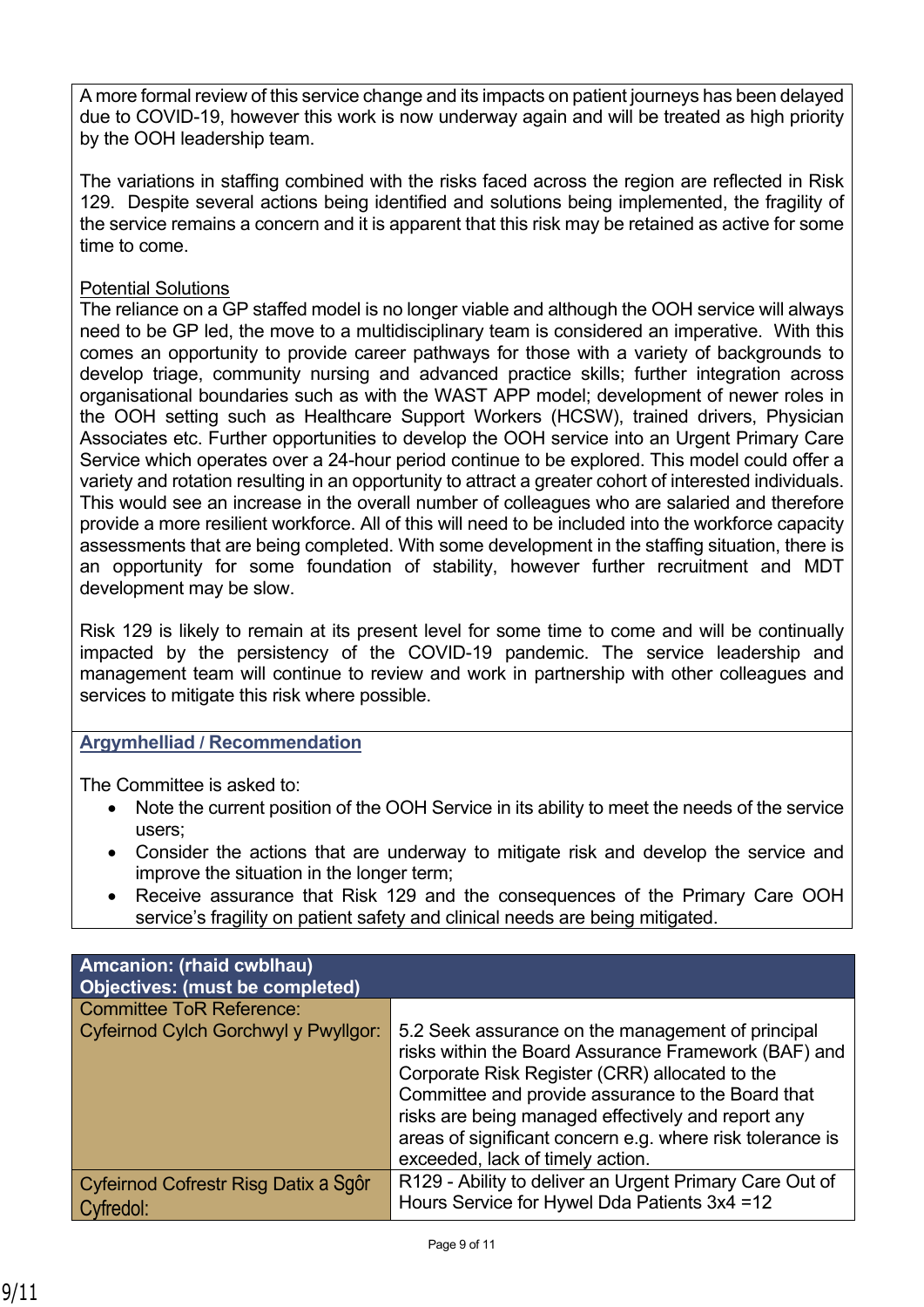A more formal review of this service change and its impacts on patient journeys has been delayed due to COVID-19, however this work is now underway again and will be treated as high priority by the OOH leadership team.

The variations in staffing combined with the risks faced across the region are reflected in Risk 129. Despite several actions being identified and solutions being implemented, the fragility of the service remains a concern and it is apparent that this risk may be retained as active for some time to come.

# Potential Solutions

The reliance on a GP staffed model is no longer viable and although the OOH service will always need to be GP led, the move to a multidisciplinary team is considered an imperative. With this comes an opportunity to provide career pathways for those with a variety of backgrounds to develop triage, community nursing and advanced practice skills; further integration across organisational boundaries such as with the WAST APP model; development of newer roles in the OOH setting such as Healthcare Support Workers (HCSW), trained drivers, Physician Associates etc. Further opportunities to develop the OOH service into an Urgent Primary Care Service which operates over a 24-hour period continue to be explored. This model could offer a variety and rotation resulting in an opportunity to attract a greater cohort of interested individuals. This would see an increase in the overall number of colleagues who are salaried and therefore provide a more resilient workforce. All of this will need to be included into the workforce capacity assessments that are being completed. With some development in the staffing situation, there is an opportunity for some foundation of stability, however further recruitment and MDT development may be slow.

Risk 129 is likely to remain at its present level for some time to come and will be continually impacted by the persistency of the COVID-19 pandemic. The service leadership and management team will continue to review and work in partnership with other colleagues and services to mitigate this risk where possible.

# **Argymhelliad / Recommendation**

The Committee is asked to:

- Note the current position of the OOH Service in its ability to meet the needs of the service users;
- Consider the actions that are underway to mitigate risk and develop the service and improve the situation in the longer term;
- Receive assurance that Risk 129 and the consequences of the Primary Care OOH service's fragility on patient safety and clinical needs are being mitigated.

| Amcanion: (rhaid cwblhau)<br>Objectives: (must be completed) |                                                                                                                                                                                                                                                                                                                                                                         |
|--------------------------------------------------------------|-------------------------------------------------------------------------------------------------------------------------------------------------------------------------------------------------------------------------------------------------------------------------------------------------------------------------------------------------------------------------|
| <b>Committee ToR Reference:</b>                              |                                                                                                                                                                                                                                                                                                                                                                         |
| Cyfeirnod Cylch Gorchwyl y Pwyllgor:                         | 5.2 Seek assurance on the management of principal<br>risks within the Board Assurance Framework (BAF) and<br>Corporate Risk Register (CRR) allocated to the<br>Committee and provide assurance to the Board that<br>risks are being managed effectively and report any<br>areas of significant concern e.g. where risk tolerance is<br>exceeded, lack of timely action. |
| Cyfeirnod Cofrestr Risg Datix a Sgôr<br>Cyfredol:            | R129 - Ability to deliver an Urgent Primary Care Out of<br>Hours Service for Hywel Dda Patients 3x4 = 12                                                                                                                                                                                                                                                                |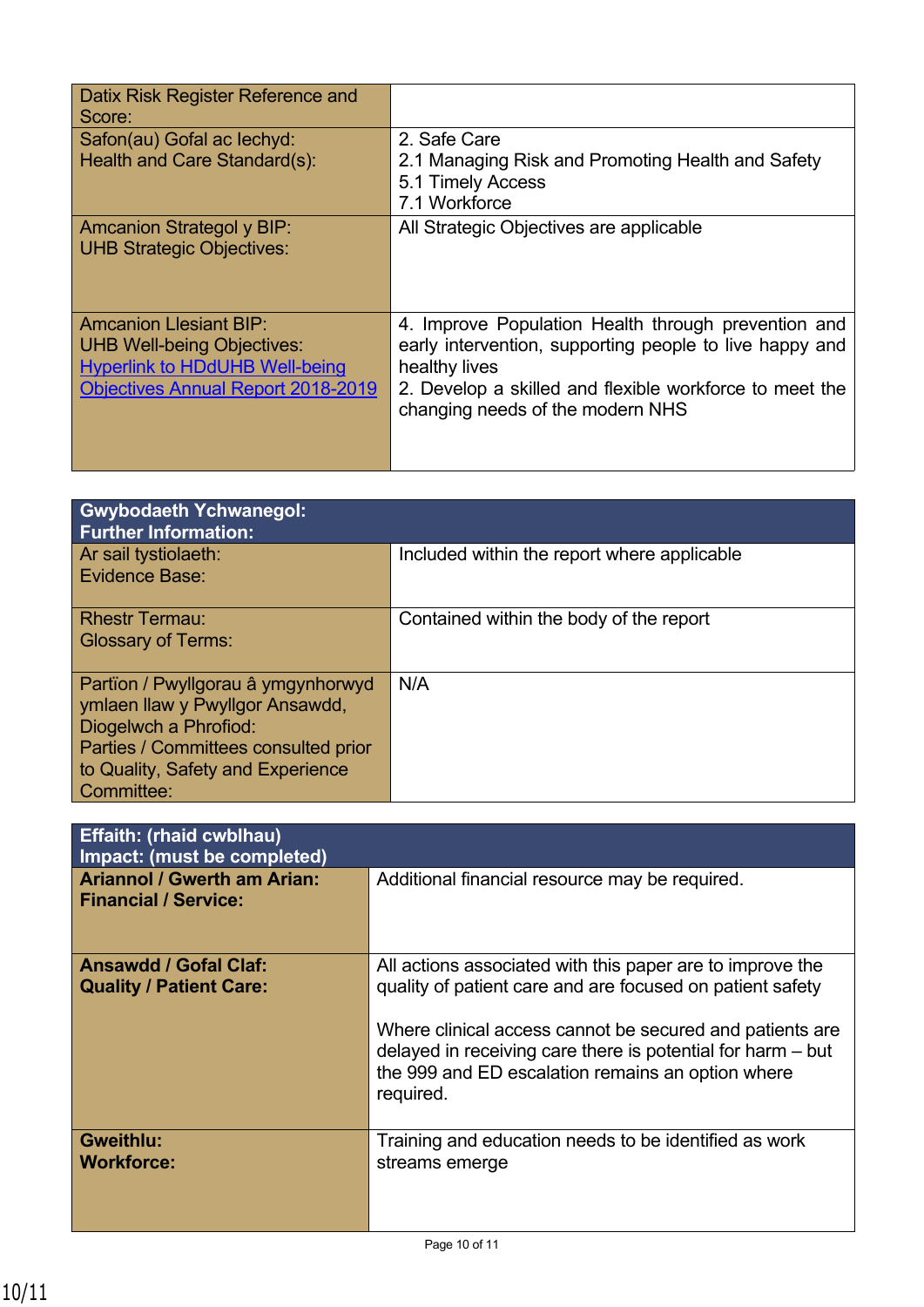| Datix Risk Register Reference and<br>Score:                                                                                                              |                                                                                                                                                                                                                                |
|----------------------------------------------------------------------------------------------------------------------------------------------------------|--------------------------------------------------------------------------------------------------------------------------------------------------------------------------------------------------------------------------------|
| Safon(au) Gofal ac lechyd:<br>Health and Care Standard(s):                                                                                               | 2. Safe Care<br>2.1 Managing Risk and Promoting Health and Safety<br>5.1 Timely Access<br>7.1 Workforce                                                                                                                        |
| <b>Amcanion Strategol y BIP:</b><br><b>UHB Strategic Objectives:</b>                                                                                     | All Strategic Objectives are applicable                                                                                                                                                                                        |
| <b>Amcanion Llesiant BIP:</b><br><b>UHB Well-being Objectives:</b><br><b>Hyperlink to HDdUHB Well-being</b><br><b>Objectives Annual Report 2018-2019</b> | 4. Improve Population Health through prevention and<br>early intervention, supporting people to live happy and<br>healthy lives<br>2. Develop a skilled and flexible workforce to meet the<br>changing needs of the modern NHS |

| <b>Gwybodaeth Ychwanegol:</b><br><b>Further Information:</b>                                                                                                                              |                                             |
|-------------------------------------------------------------------------------------------------------------------------------------------------------------------------------------------|---------------------------------------------|
| Ar sail tystiolaeth:<br>Evidence Base:                                                                                                                                                    | Included within the report where applicable |
| <b>Rhestr Termau:</b><br><b>Glossary of Terms:</b>                                                                                                                                        | Contained within the body of the report     |
| Partïon / Pwyllgorau â ymgynhorwyd<br>ymlaen llaw y Pwyllgor Ansawdd,<br>Diogelwch a Phrofiod:<br>Parties / Committees consulted prior<br>to Quality, Safety and Experience<br>Committee: | N/A                                         |

| <b>Effaith: (rhaid cwblhau)</b><br>Impact: (must be completed)    |                                                                                                                                                                                                                                                                                                                     |
|-------------------------------------------------------------------|---------------------------------------------------------------------------------------------------------------------------------------------------------------------------------------------------------------------------------------------------------------------------------------------------------------------|
| <b>Ariannol / Gwerth am Arian:</b><br><b>Financial / Service:</b> | Additional financial resource may be required.                                                                                                                                                                                                                                                                      |
| <b>Ansawdd / Gofal Claf:</b><br><b>Quality / Patient Care:</b>    | All actions associated with this paper are to improve the<br>quality of patient care and are focused on patient safety<br>Where clinical access cannot be secured and patients are<br>delayed in receiving care there is potential for harm - but<br>the 999 and ED escalation remains an option where<br>required. |
| <b>Gweithlu:</b><br><b>Workforce:</b>                             | Training and education needs to be identified as work<br>streams emerge                                                                                                                                                                                                                                             |